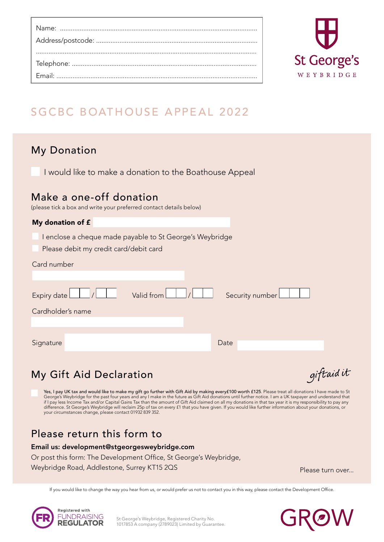

# SGCBC BOATHOUSE APPEAL 2022

# My Donation

I would like to make a donation to the Boathouse Appeal

### Make a one-off donation

(please tick a box and write your preferred contact details below)

# My donation of £ I enclose a cheque made payable to St George's Weybridge Please debit my credit card/debit card Card number Expiry date <u>| | | | | valid from | | | | | Security number</u> Cardholder's name Signature Date Date Date Date Date Date

# My Gift Aid Declaration

giftaid it

Yes, I pay UK tax and would like to make my gift go further with Gift Aid by making every£100 worth £125. Please treat all donations I have made to St George's Weybridge for the past four years and any I make in the future as Gift Aid donations until further notice. I am a UK taxpayer and understand that if I pay less Income Tax and/or Capital Gains Tax than the amount of Gift Aid claimed on all my donations in that tax year it is my responsibility to pay any difference. St George's Weybridge will reclaim 25p of tax on every £1 that you have given. If you would like further information about your donations, or your circumstances change, please contact 01932 839 352.

# Please return this form to

#### Email us: development@stgeorgesweybridge.com

Or post this form: The Development Office, St George's Weybridge,

Weybridge Road, Addlestone, Surrey KT15 2QS

Please turn over...

If you would like to change the way you hear from us, or would prefer us not to contact you in this way, please contact the Development Office.